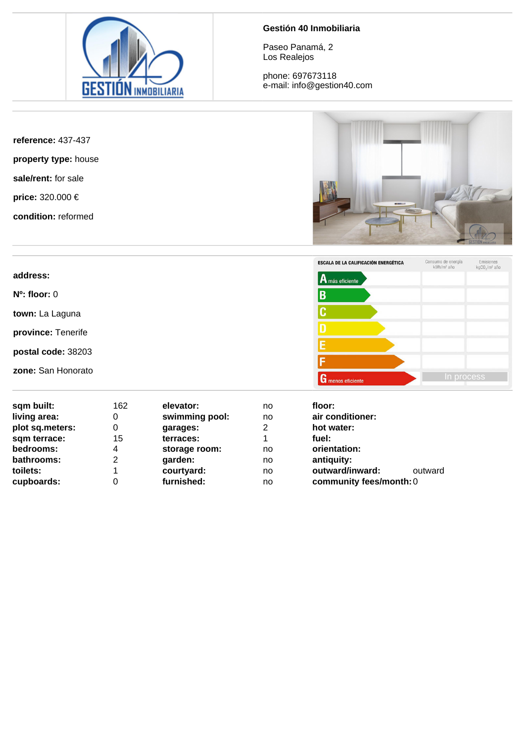

## **Gestión 40 Inmobiliaria**

Paseo Panamá, 2 Los Realejos

phone: 697673118 e-mail: info@gestion40.com

**reference:** 437-437

**property type:** house

**sale/rent:** for sale

**price:** 320.000 €

**condition:** reformed



|                    | ESCALA DE LA CALIFICACIÓN ENERGÉTICA | Consumo de energía<br>kWh/m <sup>2</sup> año | Emisiones<br>kgCO./m <sup>2</sup> año |
|--------------------|--------------------------------------|----------------------------------------------|---------------------------------------|
| address:           | A más eficiente                      |                                              |                                       |
| $N^o$ : floor: $0$ | B                                    |                                              |                                       |
| town: La Laguna    | C                                    |                                              |                                       |
| province: Tenerife |                                      |                                              |                                       |
| postal code: 38203 |                                      |                                              |                                       |
| zone: San Honorato |                                      |                                              |                                       |
|                    | <b>G</b> menos eficiente             | In process                                   |                                       |

| sqm built:      | 162 | elevator:      | no | floor:                  |         |
|-----------------|-----|----------------|----|-------------------------|---------|
| living area:    | 0   | swimming pool: | no | air conditioner:        |         |
| plot sq.meters: | 0   | garages:       | 2  | hot water:              |         |
| sqm terrace:    | 15  | terraces:      |    | fuel:                   |         |
| bedrooms:       | 4   | storage room:  | no | orientation:            |         |
| bathrooms:      | 2   | garden:        | no | antiquity:              |         |
| toilets:        |     | courtyard:     | no | outward/inward:         | outward |
| cupboards:      | 0   | furnished:     | no | community fees/month: 0 |         |